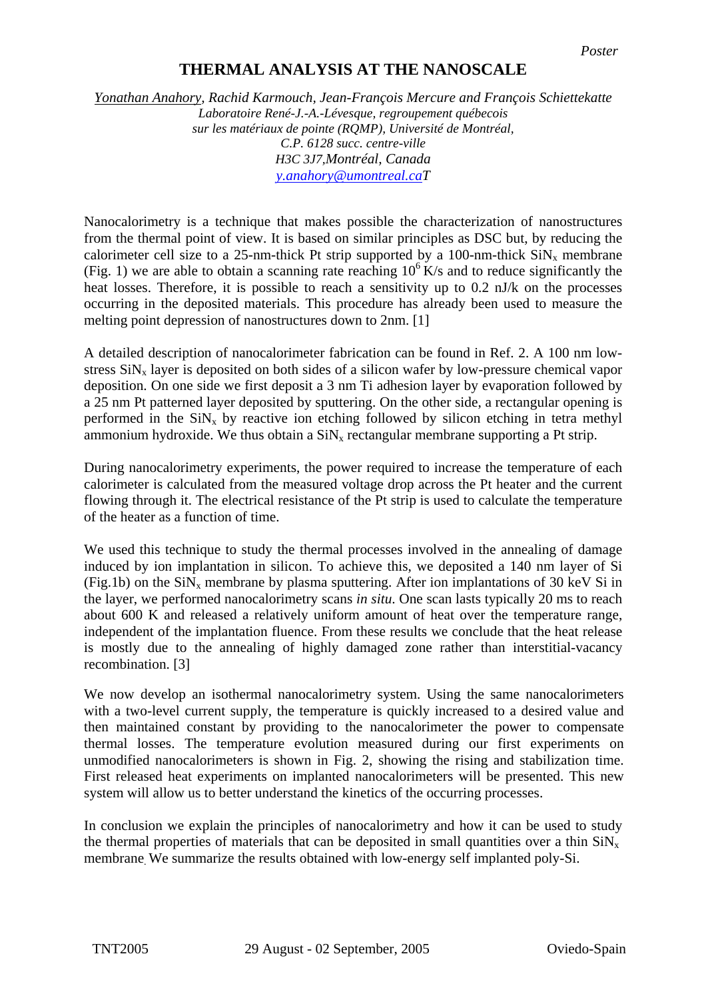## **THERMAL ANALYSIS AT THE NANOSCALE**

*Yonathan Anahory, Rachid Karmouch, Jean-François Mercure and François Schiettekatte Laboratoire René-J.-A.-Lévesque, regroupement québecois sur les matériaux de pointe (RQMP), Université de Montréal, C.P. 6128 succ. centre-ville H3C 3J7,Montréal, Canada [y.anahory@umontreal.caT](mailto:y.anahory@umontreal.ca)*

Nanocalorimetry is a technique that makes possible the characterization of nanostructures from the thermal point of view. It is based on similar principles as DSC but, by reducing the calorimeter cell size to a 25-nm-thick Pt strip supported by a 100-nm-thick  $\text{SiN}_x$  membrane (Fig. 1) we are able to obtain a scanning rate reaching  $10^6$  K/s and to reduce significantly the heat losses. Therefore, it is possible to reach a sensitivity up to 0.2 nJ/k on the processes occurring in the deposited materials. This procedure has already been used to measure the melting point depression of nanostructures down to 2nm. [1]

A detailed description of nanocalorimeter fabrication can be found in Ref. 2. A 100 nm lowstress  $\sin x$  layer is deposited on both sides of a silicon wafer by low-pressure chemical vapor deposition. On one side we first deposit a 3 nm Ti adhesion layer by evaporation followed by a 25 nm Pt patterned layer deposited by sputtering. On the other side, a rectangular opening is performed in the  $\sin N_x$  by reactive ion etching followed by silicon etching in tetra methyl ammonium hydroxide. We thus obtain a  $\text{SiN}_x$  rectangular membrane supporting a Pt strip.

During nanocalorimetry experiments, the power required to increase the temperature of each calorimeter is calculated from the measured voltage drop across the Pt heater and the current flowing through it. The electrical resistance of the Pt strip is used to calculate the temperature of the heater as a function of time.

We used this technique to study the thermal processes involved in the annealing of damage induced by ion implantation in silicon. To achieve this, we deposited a 140 nm layer of Si (Fig.1b) on the  $\text{SiN}_x$  membrane by plasma sputtering. After ion implantations of 30 keV Si in the layer, we performed nanocalorimetry scans *in situ*. One scan lasts typically 20 ms to reach about 600 K and released a relatively uniform amount of heat over the temperature range, independent of the implantation fluence. From these results we conclude that the heat release is mostly due to the annealing of highly damaged zone rather than interstitial-vacancy recombination. [3]

We now develop an isothermal nanocalorimetry system. Using the same nanocalorimeters with a two-level current supply, the temperature is quickly increased to a desired value and then maintained constant by providing to the nanocalorimeter the power to compensate thermal losses. The temperature evolution measured during our first experiments on unmodified nanocalorimeters is shown in Fig. 2, showing the rising and stabilization time. First released heat experiments on implanted nanocalorimeters will be presented. This new system will allow us to better understand the kinetics of the occurring processes.

In conclusion we explain the principles of nanocalorimetry and how it can be used to study the thermal properties of materials that can be deposited in small quantities over a thin  $\sin x$ membrane. We summarize the results obtained with low-energy self implanted poly-Si.